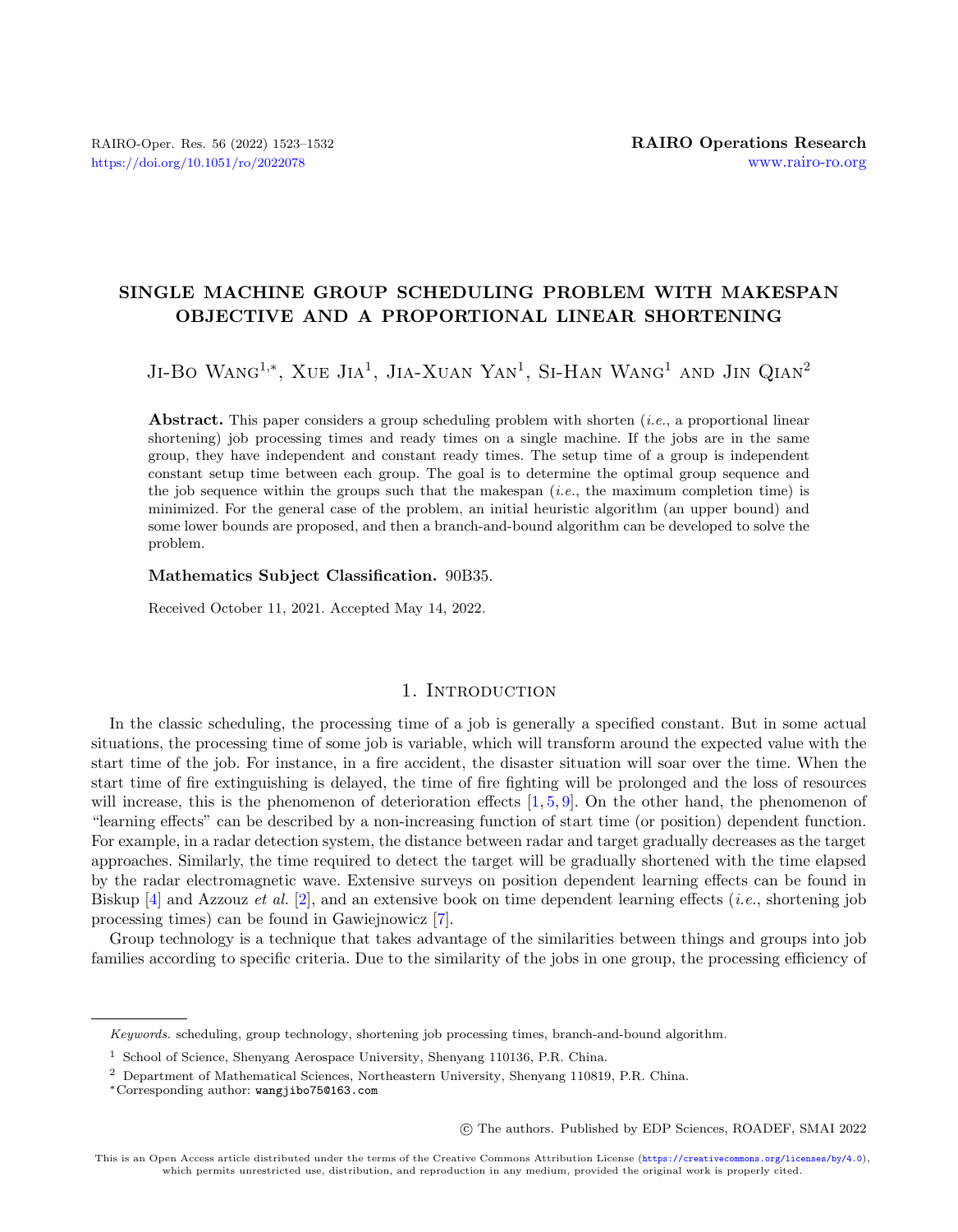# SINGLE MACHINE GROUP SCHEDULING PROBLEM WITH MAKESPAN OBJECTIVE AND A PROPORTIONAL LINEAR SHORTENING

Ji-Bo Wang<sup>1,\*</sup>, Xue Jia<sup>1</sup>, Jia-Xuan Yan<sup>1</sup>, Si-Han Wang<sup>1</sup> and Jin Qian<sup>2</sup>

Abstract. This paper considers a group scheduling problem with shorten *(i.e.*, a proportional linear shortening) job processing times and ready times on a single machine. If the jobs are in the same group, they have independent and constant ready times. The setup time of a group is independent constant setup time between each group. The goal is to determine the optimal group sequence and the job sequence within the groups such that the makespan  $(i.e.,$  the maximum completion time) is minimized. For the general case of the problem, an initial heuristic algorithm (an upper bound) and some lower bounds are proposed, and then a branch-and-bound algorithm can be developed to solve the problem.

## Mathematics Subject Classification. 90B35.

Received October 11, 2021. Accepted May 14, 2022.

# 1. INTRODUCTION

In the classic scheduling, the processing time of a job is generally a specified constant. But in some actual situations, the processing time of some job is variable, which will transform around the expected value with the start time of the job. For instance, in a fire accident, the disaster situation will soar over the time. When the start time of fire extinguishing is delayed, the time of fire fighting will be prolonged and the loss of resources will increase, this is the phenomenon of deterioration effects  $[1, 5, 9]$  $[1, 5, 9]$  $[1, 5, 9]$  $[1, 5, 9]$  $[1, 5, 9]$ . On the other hand, the phenomenon of "learning effects" can be described by a non-increasing function of start time (or position) dependent function. For example, in a radar detection system, the distance between radar and target gradually decreases as the target approaches. Similarly, the time required to detect the target will be gradually shortened with the time elapsed by the radar electromagnetic wave. Extensive surveys on position dependent learning effects can be found in Biskup  $[4]$  and Azzouz *et al.*  $[2]$ , and an extensive book on time dependent learning effects (*i.e.*, shortening job processing times) can be found in Gawiejnowicz [\[7\]](#page-8-5).

Group technology is a technique that takes advantage of the similarities between things and groups into job families according to specific criteria. Due to the similarity of the jobs in one group, the processing efficiency of

○c The authors. Published by EDP Sciences, ROADEF, SMAI 2022

Keywords. scheduling, group technology, shortening job processing times, branch-and-bound algorithm.

<sup>1</sup> School of Science, Shenyang Aerospace University, Shenyang 110136, P.R. China.

<sup>2</sup> Department of Mathematical Sciences, Northeastern University, Shenyang 110819, P.R. China.

<sup>\*</sup>Corresponding author: [wangjibo75@163.com](mailto:wangjibo75@163.com)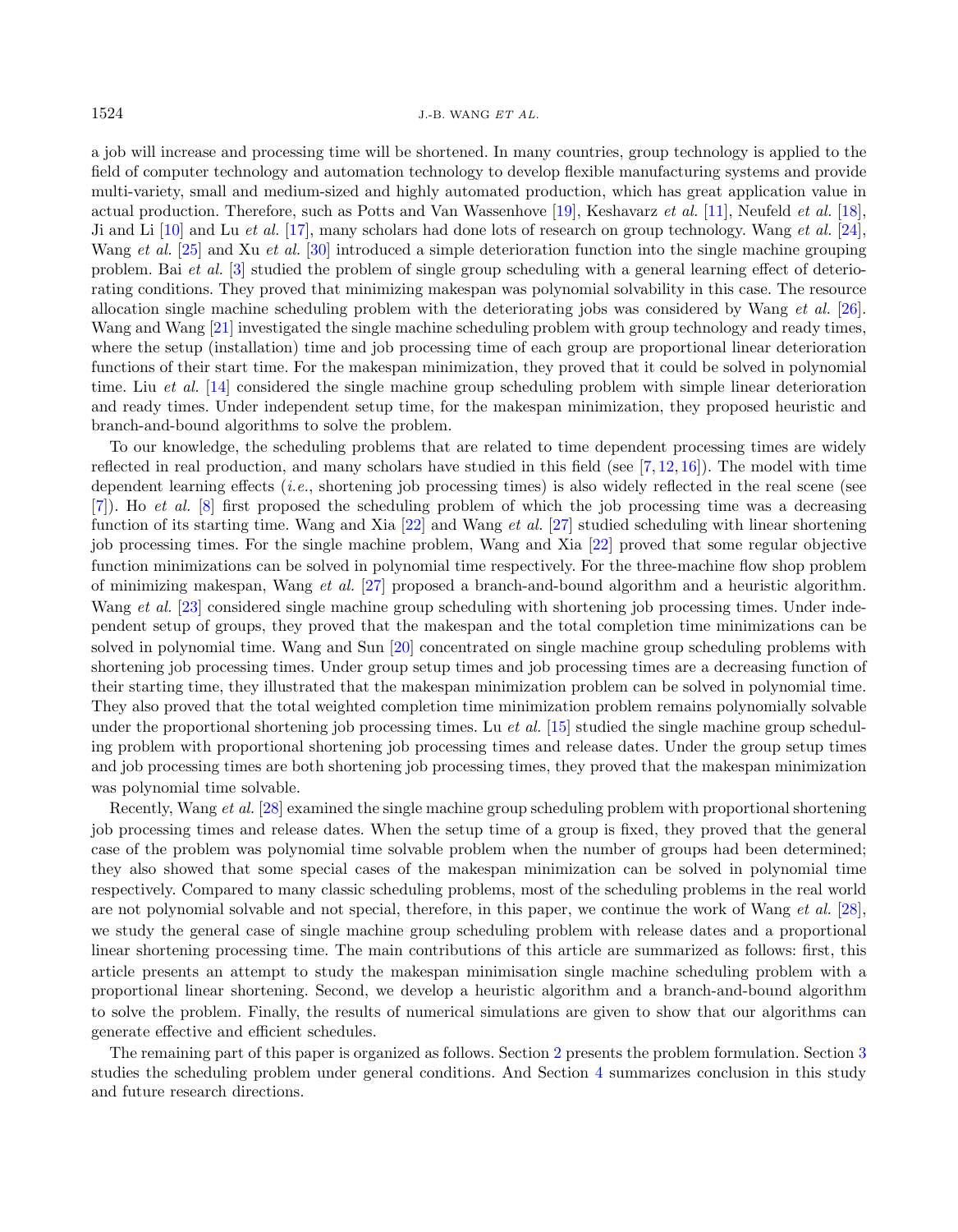a job will increase and processing time will be shortened. In many countries, group technology is applied to the field of computer technology and automation technology to develop flexible manufacturing systems and provide multi-variety, small and medium-sized and highly automated production, which has great application value in actual production. Therefore, such as Potts and Van Wassenhove [\[19\]](#page-9-0), Keshavarz et al. [\[11\]](#page-8-6), Neufeld et al. [\[18\]](#page-9-1), Ji and Li [\[10\]](#page-8-7) and Lu et al. [\[17\]](#page-9-2), many scholars had done lots of research on group technology. Wang et al. [\[24\]](#page-9-3), Wang et al. [\[25\]](#page-9-4) and Xu et al. [\[30\]](#page-9-5) introduced a simple deterioration function into the single machine grouping problem. Bai et al. [\[3\]](#page-8-8) studied the problem of single group scheduling with a general learning effect of deteriorating conditions. They proved that minimizing makespan was polynomial solvability in this case. The resource allocation single machine scheduling problem with the deteriorating jobs was considered by Wang et al. [\[26\]](#page-9-6). Wang and Wang [\[21\]](#page-9-7) investigated the single machine scheduling problem with group technology and ready times, where the setup (installation) time and job processing time of each group are proportional linear deterioration functions of their start time. For the makespan minimization, they proved that it could be solved in polynomial time. Liu et al. [\[14\]](#page-8-9) considered the single machine group scheduling problem with simple linear deterioration and ready times. Under independent setup time, for the makespan minimization, they proposed heuristic and branch-and-bound algorithms to solve the problem.

To our knowledge, the scheduling problems that are related to time dependent processing times are widely reflected in real production, and many scholars have studied in this field (see  $[7, 12, 16]$  $[7, 12, 16]$  $[7, 12, 16]$  $[7, 12, 16]$  $[7, 12, 16]$ ). The model with time dependent learning effects  $(i.e.,$  shortening job processing times) is also widely reflected in the real scene (see [\[7\]](#page-8-5)). Ho et al. [\[8\]](#page-8-12) first proposed the scheduling problem of which the job processing time was a decreasing function of its starting time. Wang and Xia [\[22\]](#page-9-8) and Wang et al. [\[27\]](#page-9-9) studied scheduling with linear shortening job processing times. For the single machine problem, Wang and Xia [\[22\]](#page-9-8) proved that some regular objective function minimizations can be solved in polynomial time respectively. For the three-machine flow shop problem of minimizing makespan, Wang et al. [\[27\]](#page-9-9) proposed a branch-and-bound algorithm and a heuristic algorithm. Wang et al. [\[23\]](#page-9-10) considered single machine group scheduling with shortening job processing times. Under independent setup of groups, they proved that the makespan and the total completion time minimizations can be solved in polynomial time. Wang and Sun [\[20\]](#page-9-11) concentrated on single machine group scheduling problems with shortening job processing times. Under group setup times and job processing times are a decreasing function of their starting time, they illustrated that the makespan minimization problem can be solved in polynomial time. They also proved that the total weighted completion time minimization problem remains polynomially solvable under the proportional shortening job processing times. Lu *et al.* [\[15\]](#page-8-13) studied the single machine group scheduling problem with proportional shortening job processing times and release dates. Under the group setup times and job processing times are both shortening job processing times, they proved that the makespan minimization was polynomial time solvable.

Recently, Wang et al. [\[28\]](#page-9-12) examined the single machine group scheduling problem with proportional shortening job processing times and release dates. When the setup time of a group is fixed, they proved that the general case of the problem was polynomial time solvable problem when the number of groups had been determined; they also showed that some special cases of the makespan minimization can be solved in polynomial time respectively. Compared to many classic scheduling problems, most of the scheduling problems in the real world are not polynomial solvable and not special, therefore, in this paper, we continue the work of Wang et al. [\[28\]](#page-9-12), we study the general case of single machine group scheduling problem with release dates and a proportional linear shortening processing time. The main contributions of this article are summarized as follows: first, this article presents an attempt to study the makespan minimisation single machine scheduling problem with a proportional linear shortening. Second, we develop a heuristic algorithm and a branch-and-bound algorithm to solve the problem. Finally, the results of numerical simulations are given to show that our algorithms can generate effective and efficient schedules.

The remaining part of this paper is organized as follows. Section [2](#page-2-0) presents the problem formulation. Section [3](#page-3-0) studies the scheduling problem under general conditions. And Section [4](#page-8-14) summarizes conclusion in this study and future research directions.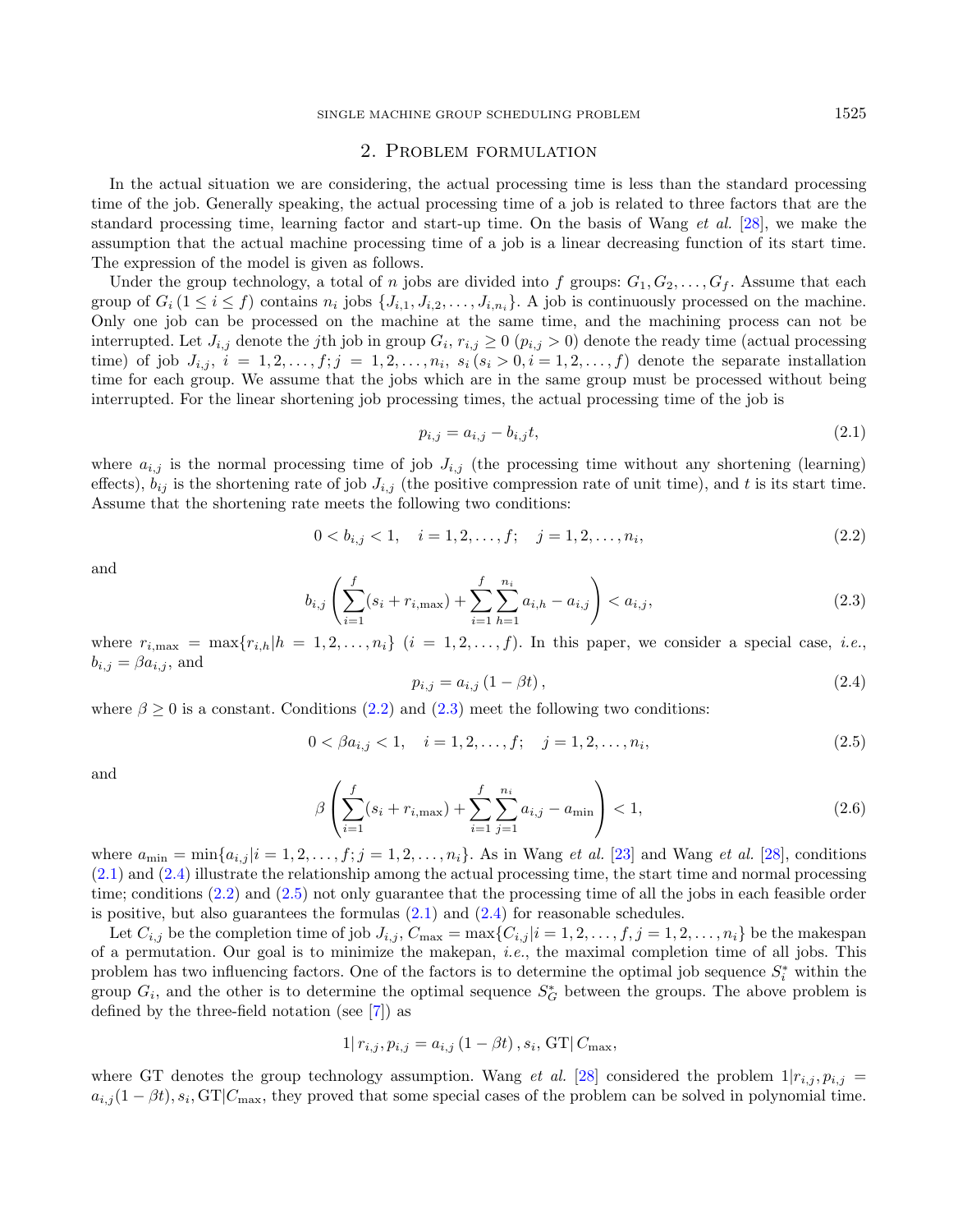# <span id="page-2-3"></span>2. Problem formulation

<span id="page-2-0"></span>In the actual situation we are considering, the actual processing time is less than the standard processing time of the job. Generally speaking, the actual processing time of a job is related to three factors that are the standard processing time, learning factor and start-up time. On the basis of Wang et al. [\[28\]](#page-9-12), we make the assumption that the actual machine processing time of a job is a linear decreasing function of its start time. The expression of the model is given as follows.

<span id="page-2-2"></span>Under the group technology, a total of *n* jobs are divided into f groups:  $G_1, G_2, \ldots, G_f$ . Assume that each group of  $G_i$   $(1 \leq i \leq f)$  contains  $n_i$  jobs  $\{J_{i,1}, J_{i,2}, \ldots, J_{i,n_i}\}\$ . A job is continuously processed on the machine. Only one job can be processed on the machine at the same time, and the machining process can not be interrupted. Let  $J_{i,j}$  denote the jth job in group  $G_i$ ,  $r_{i,j} \geq 0$   $(p_{i,j} > 0)$  denote the ready time (actual processing time) of job  $J_{i,j}$ ,  $i = 1, 2, \ldots, f; j = 1, 2, \ldots, n_i$ ,  $s_i$   $(s_i > 0, i = 1, 2, \ldots, f)$  denote the separate installation time for each group. We assume that the jobs which are in the same group must be processed without being interrupted. For the linear shortening job processing times, the actual processing time of the job is

<span id="page-2-5"></span><span id="page-2-1"></span>
$$
p_{i,j} = a_{i,j} - b_{i,j}t,\t\t(2.1)
$$

<span id="page-2-4"></span>where  $a_{i,j}$  is the normal processing time of job  $J_{i,j}$  (the processing time without any shortening (learning) effects),  $b_{ij}$  is the shortening rate of job  $J_{i,j}$  (the positive compression rate of unit time), and t is its start time. Assume that the shortening rate meets the following two conditions:

$$
0 < b_{i,j} < 1, \quad i = 1, 2, \dots, f; \quad j = 1, 2, \dots, n_i,\tag{2.2}
$$

and

$$
b_{i,j}\left(\sum_{i=1}^{f}(s_i+r_{i,\max})+\sum_{i=1}^{f}\sum_{h=1}^{n_i}a_{i,h}-a_{i,j}\right)\n(2.3)
$$

where  $r_{i,\text{max}} = \max\{r_{i,h}|h = 1, 2, \ldots, n_i\}$   $(i = 1, 2, \ldots, f)$ . In this paper, we consider a special case, *i.e.*,  $b_{i,j} = \beta a_{i,j}$ , and

$$
p_{i,j} = a_{i,j} \left( 1 - \beta t \right), \tag{2.4}
$$

where  $\beta \geq 0$  is a constant. Conditions [\(2.2\)](#page-2-1) and [\(2.3\)](#page-2-2) meet the following two conditions:

$$
0 < \beta a_{i,j} < 1, \quad i = 1, 2, \dots, f; \quad j = 1, 2, \dots, n_i,\tag{2.5}
$$

and

$$
\beta \left( \sum_{i=1}^{f} (s_i + r_{i,\max}) + \sum_{i=1}^{f} \sum_{j=1}^{n_i} a_{i,j} - a_{\min} \right) < 1,\tag{2.6}
$$

where  $a_{\min} = \min\{a_{i,j} | i = 1, 2, \ldots, f; j = 1, 2, \ldots, n_i\}$ . As in Wang *et al.* [\[23\]](#page-9-10) and Wang *et al.* [\[28\]](#page-9-12), conditions [\(2.1\)](#page-2-3) and [\(2.4\)](#page-2-4) illustrate the relationship among the actual processing time, the start time and normal processing time; conditions [\(2.2\)](#page-2-1) and [\(2.5\)](#page-2-5) not only guarantee that the processing time of all the jobs in each feasible order is positive, but also guarantees the formulas  $(2.1)$  and  $(2.4)$  for reasonable schedules.

Let  $C_{i,j}$  be the completion time of job  $J_{i,j}$ ,  $C_{\text{max}} = \max\{C_{i,j} | i = 1, 2, \ldots, f, j = 1, 2, \ldots, n_i\}$  be the makespan of a permutation. Our goal is to minimize the makepan, i.e., the maximal completion time of all jobs. This problem has two influencing factors. One of the factors is to determine the optimal job sequence  $S_i^*$  within the group  $G_i$ , and the other is to determine the optimal sequence  $S_G^*$  between the groups. The above problem is defined by the three-field notation (see [\[7\]](#page-8-5)) as

$$
1|r_{i,j}, p_{i,j} = a_{i,j} (1 - \beta t), s_i, \text{GT}| C_{\text{max}},
$$

where GT denotes the group technology assumption. Wang et al. [\[28\]](#page-9-12) considered the problem  $1|r_{i,j}, p_{i,j}|$  $a_{i,j}(1-\beta t), s_i, GT|C_{\text{max}}$ , they proved that some special cases of the problem can be solved in polynomial time.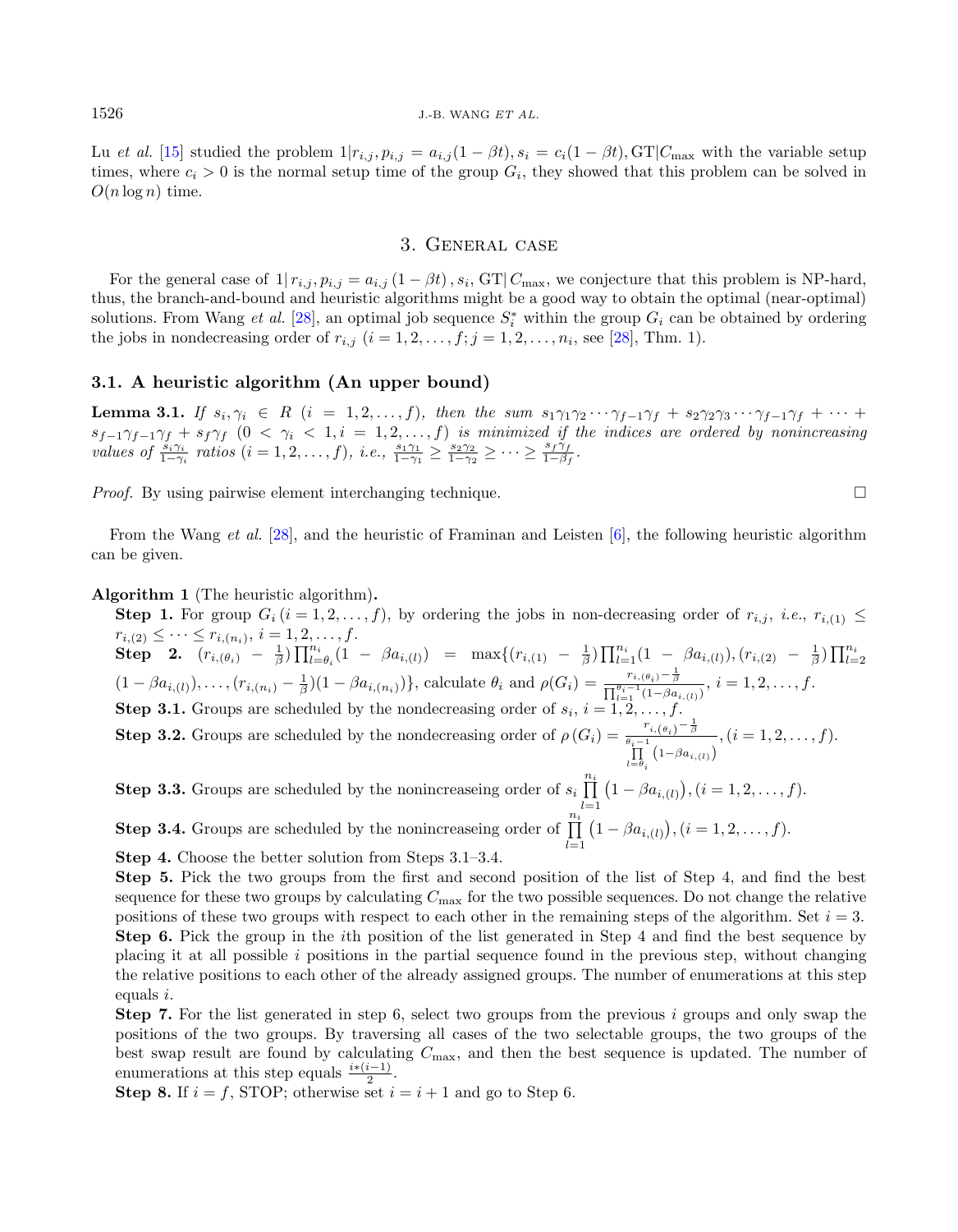Lu et al. [\[15\]](#page-8-13) studied the problem  $1|r_{i,j}, p_{i,j} = a_{i,j}(1-\beta t), s_i = c_i(1-\beta t), GT|C_{\text{max}}$  with the variable setup times, where  $c_i > 0$  is the normal setup time of the group  $G_i$ , they showed that this problem can be solved in  $O(n \log n)$  time.

## 3. General case

<span id="page-3-0"></span>For the general case of  $1|r_{i,j}, p_{i,j} = a_{i,j} (1 - \beta t), s_i$ , GT $|C_{\text{max}}|$ , we conjecture that this problem is NP-hard, thus, the branch-and-bound and heuristic algorithms might be a good way to obtain the optimal (near-optimal) solutions. From Wang *et al.* [\[28\]](#page-9-12), an optimal job sequence  $S_i^*$  within the group  $G_i$  can be obtained by ordering the jobs in nondecreasing order of  $r_{i,j}$   $(i = 1, 2, \ldots, f; j = 1, 2, \ldots, n_i$ , see [\[28\]](#page-9-12), Thm. 1).

## 3.1. A heuristic algorithm (An upper bound)

**Lemma 3.1.** If  $s_i, \gamma_i \in R$   $(i = 1, 2, ..., f)$ , then the sum  $s_1 \gamma_1 \gamma_2 \cdots \gamma_{f-1} \gamma_f + s_2 \gamma_2 \gamma_3 \cdots \gamma_{f-1} \gamma_f + \cdots$  $s_{f-1}\gamma_{f-1}\gamma_f + s_f\gamma_f$   $(0 \ < \ \gamma_i \ < \ 1, i \ = \ 1, 2, \ldots, f)$  is minimized if the indices are ordered by nonincreasing values of  $\frac{s_i \gamma_i}{1-\gamma_i}$  ratios  $(i=1,2,\ldots,f)$ , i.e.,  $\frac{s_1 \gamma_1}{1-\gamma_1} \ge \frac{s_2 \gamma_2}{1-\gamma_2} \ge \cdots \ge \frac{s_f \gamma_f}{1-\beta_f}$ .

*Proof.* By using pairwise element interchanging technique.  $\Box$ 

From the Wang et al. [\[28\]](#page-9-12), and the heuristic of Framinan and Leisten  $[6]$ , the following heuristic algorithm can be given.

#### <span id="page-3-1"></span>Algorithm 1 (The heuristic algorithm).

**Step 1.** For group  $G_i$   $(i = 1, 2, ..., f)$ , by ordering the jobs in non-decreasing order of  $r_{i,j}$ , *i.e.*,  $r_{i,(1)} \leq r_{i,(2)} \leq \cdots \leq r_{i,(n_i)}$ ,  $i = 1, 2, ..., f$ .  $r_{i,(2)} \leq \cdots \leq r_{i,(n_i)}, i = 1,2,\ldots,f.$  $\textbf{Step 2.} \quad (r_{i,(\theta_i)} - \frac{1}{\beta}) \prod_{l=\theta_i}^{n_i} (1 - \beta a_{i,(l)}) = \max\{(r_{i,(1)} - \frac{1}{\beta}) \prod_{l=1}^{n_i} (1 - \beta a_{i,(l)}), (r_{i,(2)} - \frac{1}{\beta}) \prod_{l=2}^{n_i} (1 - \beta a_{i,(l)})\}$  $(1-\beta a_{i,(l)}), \ldots, (r_{i,(n_i)}-\frac{1}{\beta})(1-\beta a_{i,(n_i)})\},$  calculate  $\theta_i$  and  $\rho(G_i) = \frac{r_{i,(\theta_i)}-\frac{1}{\beta}}{\prod_{l=1}^{\theta_i-1}(1-\beta a_{i,(l)})}, i=1,2,\ldots,f.$ **Step 3.1.** Groups are scheduled by the nondecreasing order of  $s_i$ ,  $i = 1, 2, \ldots, f$ .

**Step 3.2.** Groups are scheduled by the nondecreasing order of  $\rho(G_i) = \frac{r_{i,(\theta_i)} - \frac{1}{\beta_i}}{\theta_i - 1}$  $\prod_{l=\theta_i}$   $\left(1-\beta a_{i,(l)}\right)$  $, (i = 1, 2, \ldots, f).$ 

**Step 3.3.** Groups are scheduled by the nonincreaseing order of  $s_i$   $\prod^{n_i}$  $l=1$  $(1 - \beta a_{i,(l)}), (i = 1, 2, \ldots, f).$ **Step 3.4.** Groups are scheduled by the nonincreaseing order of  $\prod_{i=1}^{n_i}$  $(1 - \beta a_{i,(l)}), (i = 1, 2, \ldots, f).$ 

Step 4. Choose the better solution from Steps 3.1–3.4.

Step 5. Pick the two groups from the first and second position of the list of Step 4, and find the best sequence for these two groups by calculating  $C_{\text{max}}$  for the two possible sequences. Do not change the relative positions of these two groups with respect to each other in the remaining steps of the algorithm. Set  $i = 3$ . Step 6. Pick the group in the th position of the list generated in Step 4 and find the best sequence by placing it at all possible  $i$  positions in the partial sequence found in the previous step, without changing the relative positions to each other of the already assigned groups. The number of enumerations at this step equals  $i$ .

 $_{l=1}$ 

**Step 7.** For the list generated in step 6, select two groups from the previous  $i$  groups and only swap the positions of the two groups. By traversing all cases of the two selectable groups, the two groups of the best swap result are found by calculating  $C_{\text{max}}$ , and then the best sequence is updated. The number of enumerations at this step equals  $\frac{i*(i-1)}{2}$ .

**Step 8.** If  $i = f$ , STOP; otherwise set  $i = i + 1$  and go to Step 6.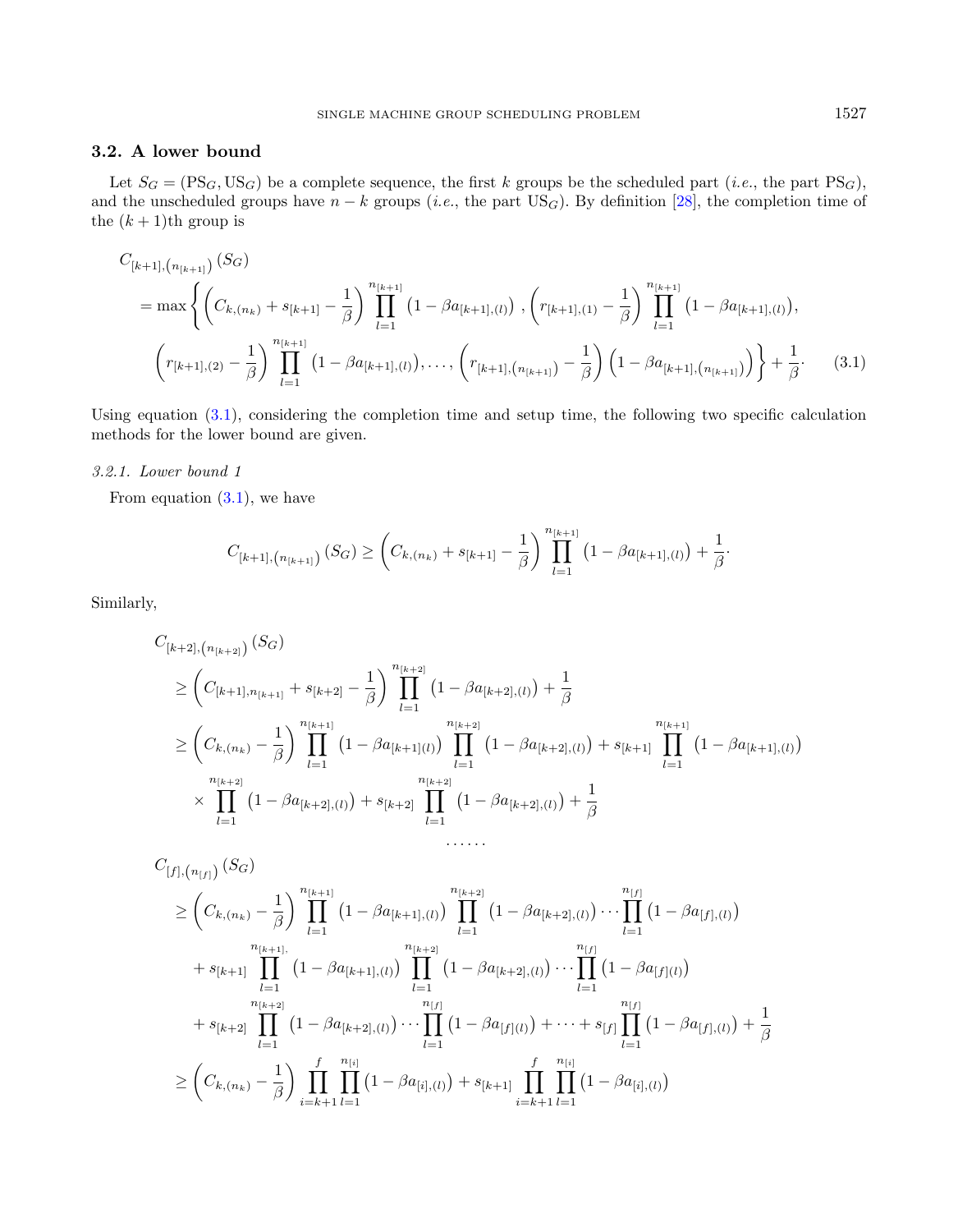# 3.2. A lower bound

Let  $S_G = (\text{PS}_G, \text{US}_G)$  be a complete sequence, the first k groups be the scheduled part (*i.e.*, the part  $\text{PS}_G$ ), and the unscheduled groups have  $n - k$  groups (*i.e.*, the part US<sub>G</sub>). By definition [\[28\]](#page-9-12), the completion time of the  $(k + 1)$ th group is

<span id="page-4-0"></span>
$$
C_{[k+1], (n_{[k+1]})}(S_G)
$$
  
= max  $\left\{ \left( C_{k,(n_k)} + s_{[k+1]} - \frac{1}{\beta} \right) \prod_{l=1}^{n_{[k+1]}} \left( 1 - \beta a_{[k+1],(l)} \right), \left( r_{[k+1],(1)} - \frac{1}{\beta} \right) \prod_{l=1}^{n_{[k+1]}} \left( 1 - \beta a_{[k+1],(l)} \right), \right\}$   

$$
\left( r_{[k+1],(2)} - \frac{1}{\beta} \right) \prod_{l=1}^{n_{[k+1]}} \left( 1 - \beta a_{[k+1],(l)} \right), \dots, \left( r_{[k+1],(n_{[k+1]})} - \frac{1}{\beta} \right) \left( 1 - \beta a_{[k+1],(n_{[k+1]})} \right) \right\} + \frac{1}{\beta}.
$$
 (3.1)

Using equation [\(3.1\)](#page-4-0), considering the completion time and setup time, the following two specific calculation methods for the lower bound are given.

## 3.2.1. Lower bound 1

From equation  $(3.1)$ , we have

$$
C_{[k+1], (n_{[k+1]})} (S_G) \geq \left(C_{k, (n_k)} + s_{[k+1]} - \frac{1}{\beta}\right) \prod_{l=1}^{n_{[k+1]}} \left(1 - \beta a_{[k+1], (l)}\right) + \frac{1}{\beta}.
$$

Similarly,

$$
C_{[k+2], (n_{[k+2]})}(S_G)
$$
  
\n
$$
\geq (C_{[k+1], n_{[k+1]}} + s_{[k+2]} - \frac{1}{\beta}) \prod_{l=1}^{n_{[k+2]}} (1 - \beta a_{[k+2], (l)}) + \frac{1}{\beta}
$$
  
\n
$$
\geq (C_{k, (n_k)} - \frac{1}{\beta}) \prod_{l=1}^{n_{[k+1]}} (1 - \beta a_{[k+1](l)}) \prod_{l=1}^{n_{[k+2]}} (1 - \beta a_{[k+2], (l)}) + s_{[k+1]} \prod_{l=1}^{n_{[k+1]}} (1 - \beta a_{[k+1], (l)})
$$
  
\n
$$
\times \prod_{l=1}^{n_{[k+2]}} (1 - \beta a_{[k+2], (l)}) + s_{[k+2]} \prod_{l=1}^{n_{[k+2]}} (1 - \beta a_{[k+2], (l)}) + \frac{1}{\beta}
$$
  
\n........

$$
C_{[f],[n_{[f]})}(S_G)
$$
\n
$$
\geq \left(C_{k,(n_k)} - \frac{1}{\beta}\right) \prod_{l=1}^{n_{[k+1]}} \left(1 - \beta a_{[k+1],(l)}\right) \prod_{l=1}^{n_{[k+2]}} \left(1 - \beta a_{[k+2],(l)}\right) \cdots \prod_{l=1}^{n_{[f]}} \left(1 - \beta a_{[f],(l)}\right)
$$
\n
$$
+ s_{[k+1]} \prod_{l=1}^{n_{[k+1]}} \left(1 - \beta a_{[k+1],(l)}\right) \prod_{l=1}^{n_{[k+2]}} \left(1 - \beta a_{[k+2],(l)}\right) \cdots \prod_{l=1}^{n_{[f]}} \left(1 - \beta a_{[f](l)}\right)
$$
\n
$$
+ s_{[k+2]} \prod_{l=1}^{n_{[k+2]}} \left(1 - \beta a_{[k+2],(l)}\right) \cdots \prod_{l=1}^{n_{[f]}} \left(1 - \beta a_{[f](l)}\right) + \cdots + s_{[f]} \prod_{l=1}^{n_{[f]}} \left(1 - \beta a_{[f],(l)}\right) + \frac{1}{\beta}
$$
\n
$$
\geq \left(C_{k,(n_k)} - \frac{1}{\beta}\right) \prod_{i=k+1}^{f} \prod_{l=1}^{n_{[i]}} \left(1 - \beta a_{[i],(l)}\right) + s_{[k+1]} \prod_{i=k+1}^{f} \prod_{l=1}^{n_{[i]}} \left(1 - \beta a_{[i],(l)}\right)
$$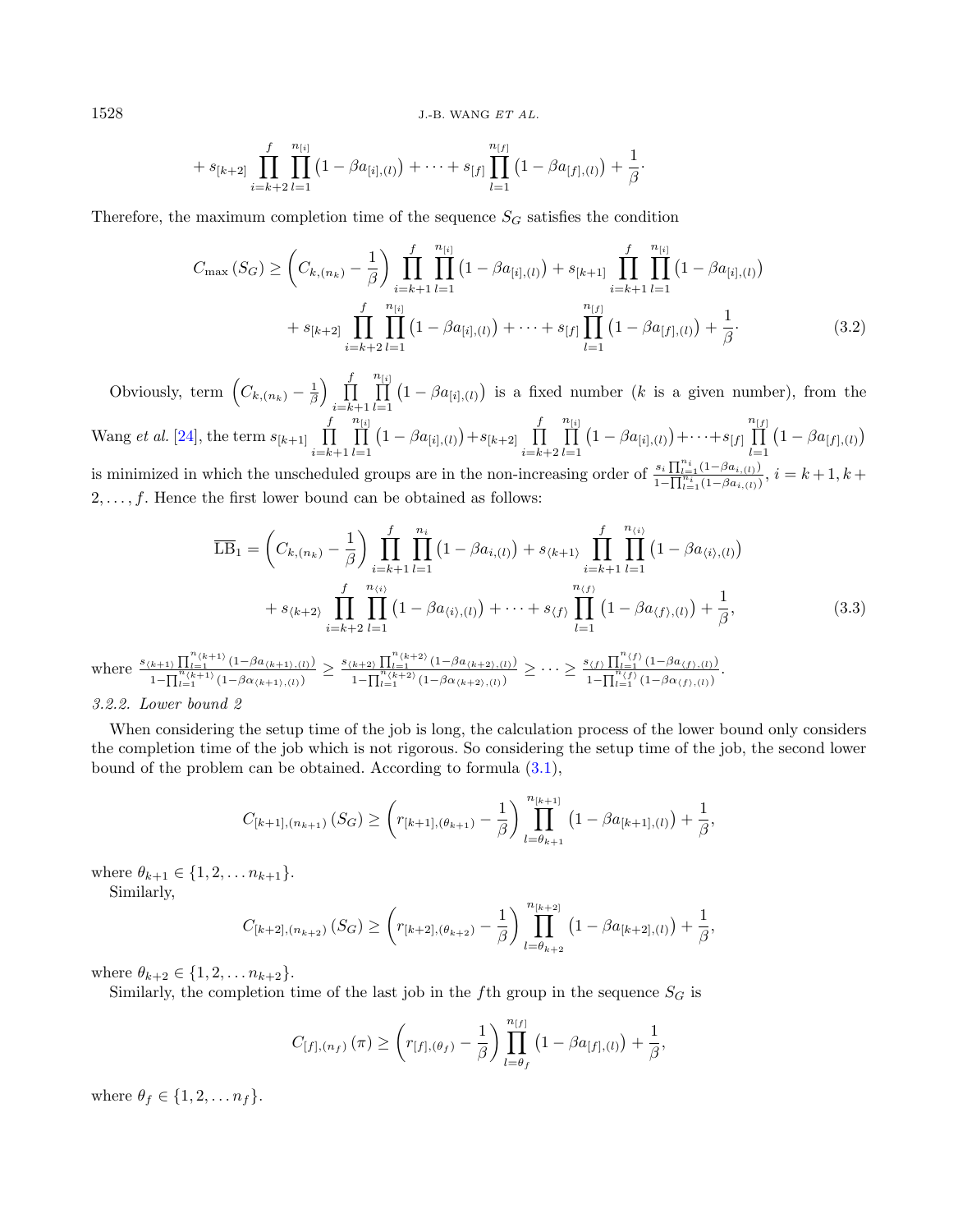$1528$  J.-B. WANG  $ETAL$ .

$$
+ s_{[k+2]} \prod_{i=k+2}^{f} \prod_{l=1}^{n_{[i]}} (1 - \beta a_{[i],(l)}) + \cdots + s_{[f]} \prod_{l=1}^{n_{[f]}} (1 - \beta a_{[f],(l)}) + \frac{1}{\beta}.
$$

Therefore, the maximum completion time of the sequence  $S_G$  satisfies the condition

$$
C_{\max}(S_G) \geq \left(C_{k,(n_k)} - \frac{1}{\beta}\right) \prod_{i=k+1}^f \prod_{l=1}^{n_{[i]}} \left(1 - \beta a_{[i],(l)}\right) + s_{[k+1]} \prod_{i=k+1}^f \prod_{l=1}^{n_{[i]}} \left(1 - \beta a_{[i],(l)}\right) + s_{[k+2]} \prod_{i=k+2}^f \prod_{l=1}^{n_{[i]}} \left(1 - \beta a_{[i],(l)}\right) + \dots + s_{[f]} \prod_{l=1}^{n_{[f]}} \left(1 - \beta a_{[f],(l)}\right) + \frac{1}{\beta}.
$$
\n(3.2)

Obviously, term  $\left(C_{k,(n_k)}-\frac{1}{\beta}\right)$   $\prod_{k=1}^{f}$  $_{i=k+1}$  $\boldsymbol{n}$  $\prod^{\mu[i]}$  $_{l=1}$  $(1 - \beta a_{[i], (l)})$  is a fixed number (k is a given number), from the Wang *et al.* [\[24\]](#page-9-3), the term  $s_{[k+1]}$   $\prod^f$  $\boldsymbol{n}$  $\prod^{\mu[i]}$  $(1 - \beta a_{[i],(l)}) + s_{[k+2]} \prod_{l=1}^{f}$  $\boldsymbol{n}$  $\prod^{\mu[i]}$  $(1 - \beta a_{[i],(l)}) + \cdots + s_{[f]}$  $\boldsymbol{n}$  $\prod_{i=1}^{n}$  $(1 - \beta a_{[f],(l)})$ 

 $_{i=k+1}$  $_{l=1}$  $_{i=k+2}$  $_{l=1}$  $l=1$ is minimized in which the unscheduled groups are in the non-increasing order of  $\frac{s_i \prod_{l=1}^{n_i} (1-\beta a_{i,(l)})}{1-\prod_{l=1}^{n_i} (1-\beta a_{i,(l)})}, i = k+1, k+1$  $2, \ldots, f$ . Hence the first lower bound can be obtained as follows:

<span id="page-5-0"></span>
$$
\overline{\text{LB}}_1 = \left(C_{k,(n_k)} - \frac{1}{\beta}\right) \prod_{i=k+1}^f \prod_{l=1}^{n_i} \left(1 - \beta a_{i,(l)}\right) + s_{\langle k+1\rangle} \prod_{i=k+1}^f \prod_{l=1}^{n_{\langle i\rangle}} \left(1 - \beta a_{\langle i\rangle,(l)}\right) \n+ s_{\langle k+2\rangle} \prod_{i=k+2}^f \prod_{l=1}^{n_{\langle i\rangle}} \left(1 - \beta a_{\langle i\rangle,(l)}\right) + \dots + s_{\langle f\rangle} \prod_{l=1}^{n_{\langle f\rangle}} \left(1 - \beta a_{\langle f\rangle,(l)}\right) + \frac{1}{\beta},
$$
\n(3.3)

$$
\text{where } \frac{s_{(k+1)}\prod_{l=1}^{n_{(k+1)}}(1-\beta a_{(k+1),(l)})}{1-\prod_{l=1}^{n_{(k+1)}}(1-\beta\alpha_{(k+1),(l)})} \geq \frac{s_{(k+2)}\prod_{l=1}^{n_{(k+2)}}(1-\beta a_{(k+2),(l)})}{1-\prod_{l=1}^{n_{(k+2)}}(1-\beta\alpha_{(k+2),(l)})} \geq \cdots \geq \frac{s_{\langle f \rangle}\prod_{l=1}^{n_{\langle f \rangle}}(1-\beta a_{\langle f \rangle,(l)})}{1-\prod_{l=1}^{n_{\langle f \rangle}}(1-\beta\alpha_{(f),(l)})}.
$$

#### 3.2.2. Lower bound 2

When considering the setup time of the job is long, the calculation process of the lower bound only considers the completion time of the job which is not rigorous. So considering the setup time of the job, the second lower bound of the problem can be obtained. According to formula [\(3.1\)](#page-4-0),

$$
C_{[k+1],(n_{k+1})}(S_G) \ge \left(r_{[k+1],(\theta_{k+1})}-\frac{1}{\beta}\right) \prod_{l=\theta_{k+1}}^{n_{[k+1]}} \left(1-\beta a_{[k+1],(l)}\right) + \frac{1}{\beta},
$$

where  $\theta_{k+1} \in \{1, 2, \ldots n_{k+1}\}.$ 

Similarly,

$$
C_{[k+2],(n_{k+2})}(S_G) \ge \left(r_{[k+2],(\theta_{k+2})}-\frac{1}{\beta}\right) \prod_{l=\theta_{k+2}}^{n_{[k+2]}} \left(1-\beta a_{[k+2],(l)}\right) + \frac{1}{\beta},
$$

where  $\theta_{k+2} \in \{1, 2, \ldots n_{k+2}\}.$ 

Similarly, the completion time of the last job in the fth group in the sequence  $S_G$  is

$$
C_{[f],[n_f)}(\pi) \geq \left(r_{[f],(\theta_f)} - \frac{1}{\beta}\right) \prod_{l=\theta_f}^{n_{[f]}} \left(1 - \beta a_{[f],(l)}\right) + \frac{1}{\beta},
$$

where  $\theta_f \in \{1, 2, \ldots n_f\}.$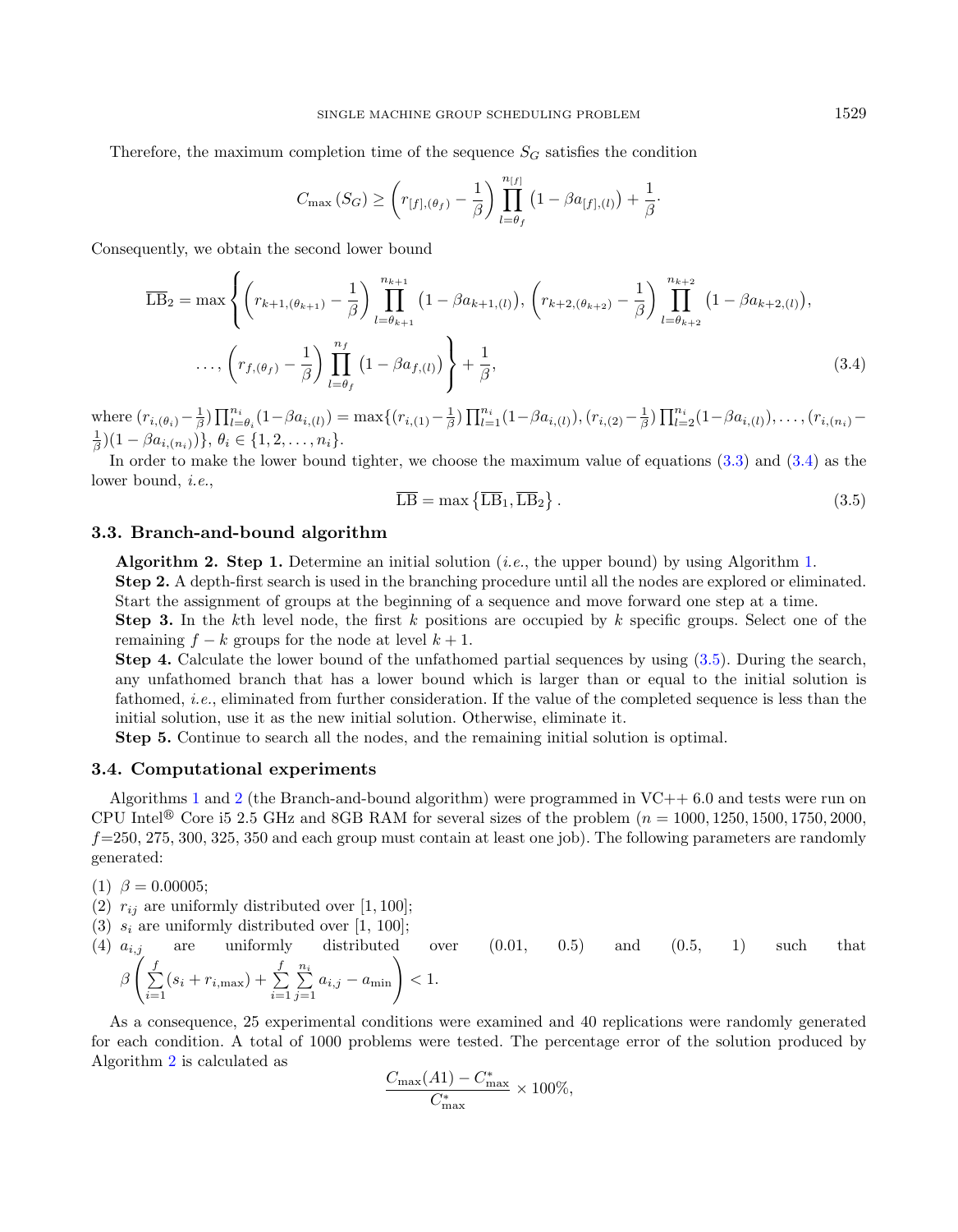Therefore, the maximum completion time of the sequence  $S_G$  satisfies the condition

<span id="page-6-0"></span>
$$
C_{\max}\left(S_G\right) \geq \left(r_{[f],(\theta_f)} - \frac{1}{\beta}\right) \prod_{l=\theta_f}^{n_{[f]}} \left(1 - \beta a_{[f],(l)}\right) + \frac{1}{\beta}.
$$

Consequently, we obtain the second lower bound

<span id="page-6-1"></span>
$$
\overline{\text{LB}}_2 = \max \left\{ \left( r_{k+1,(\theta_{k+1})} - \frac{1}{\beta} \right) \prod_{l=\theta_{k+1}}^{n_{k+1}} \left( 1 - \beta a_{k+1,(l)} \right), \left( r_{k+2,(\theta_{k+2})} - \frac{1}{\beta} \right) \prod_{l=\theta_{k+2}}^{n_{k+2}} \left( 1 - \beta a_{k+2,(l)} \right), \dots, \left( r_{f,(\theta_f)} - \frac{1}{\beta} \right) \prod_{l=\theta_f}^{n_f} \left( 1 - \beta a_{f,l} \right) \right\} + \frac{1}{\beta}, \tag{3.4}
$$

where  $(r_{i,(\theta_i)} - \frac{1}{\beta}) \prod_{l=\theta_i}^{n_i} (1-\beta a_{i,(l)}) = \max\{(r_{i,(1)} - \frac{1}{\beta}) \prod_{l=1}^{n_i} (1-\beta a_{i,(l)}), (r_{i,(2)} - \frac{1}{\beta}) \prod_{l=2}^{n_i} (1-\beta a_{i,(l)}), \dots, (r_{i,(n_i)} - \frac{1}{\beta}) \prod_{l=1}^{n_i} (1-\beta a_{i,(l)}), \dots, (r_{i,(n_i)} - \frac{1}{\beta}) \prod_{l=1}^{n_i} (1-\beta a_{i,(l)}), \dots, (r_{i,(n_i)}$  $(\frac{1}{\beta})(1 - \beta a_{i,(n_i)})\}, \theta_i \in \{1, 2, \ldots, n_i\}.$ 

In order to make the lower bound tighter, we choose the maximum value of equations [\(3.3\)](#page-5-0) and [\(3.4\)](#page-6-0) as the lower bound, i.e.,

$$
\overline{\text{LB}} = \max\left\{\overline{\text{LB}}_1, \overline{\text{LB}}_2\right\}.
$$
\n(3.5)

#### 3.3. Branch-and-bound algorithm

<span id="page-6-2"></span>**Algorithm 2. Step [1.](#page-3-1)** Determine an initial solution *(i.e., the upper bound)* by using Algorithm 1. Step 2. A depth-first search is used in the branching procedure until all the nodes are explored or eliminated.

Start the assignment of groups at the beginning of a sequence and move forward one step at a time. **Step 3.** In the kth level node, the first  $k$  positions are occupied by  $k$  specific groups. Select one of the remaining  $f - k$  groups for the node at level  $k + 1$ .

Step 4. Calculate the lower bound of the unfathomed partial sequences by using [\(3.5\)](#page-6-1). During the search, any unfathomed branch that has a lower bound which is larger than or equal to the initial solution is fathomed, i.e., eliminated from further consideration. If the value of the completed sequence is less than the initial solution, use it as the new initial solution. Otherwise, eliminate it.

Step 5. Continue to search all the nodes, and the remaining initial solution is optimal.

## 3.4. Computational experiments

Algorithms [1](#page-3-1) and [2](#page-6-2) (the Branch-and-bound algorithm) were programmed in  $VC++ 6.0$  and tests were run on CPU Intel<sup>®</sup> Core i5 2.5 GHz and 8GB RAM for several sizes of the problem  $(n = 1000, 1250, 1500, 1750, 2000,$  $f=250, 275, 300, 325, 350$  and each group must contain at least one job). The following parameters are randomly generated:

(1)  $\beta = 0.00005;$ 

- (2)  $r_{ij}$  are uniformly distributed over [1, 100];
- (3)  $s_i$  are uniformly distributed over [1, 100];
- (4)  $a_{i,j}$  are uniformly distributed over  $(0.01, 0.5)$  and  $(0.5, 1)$  such that β  $\sqrt{2}$  $\sum_{i=1}^{n}$  $\sum_{i=1}^{f} (s_i + r_{i,\text{max}}) + \sum_{i=1}^{f}$  $i=1$  $\sum_{i=1}^{n}$  $\sum_{j=1}^{n_i} a_{i,j} - a_{\min}$  < 1.

As a consequence, 25 experimental conditions were examined and 40 replications were randomly generated for each condition. A total of 1000 problems were tested. The percentage error of the solution produced by Algorithm [2](#page-6-2) is calculated as

$$
\frac{C_{\text{max}}(A1) - C_{\text{max}}^*}{C_{\text{max}}^*} \times 100\%,
$$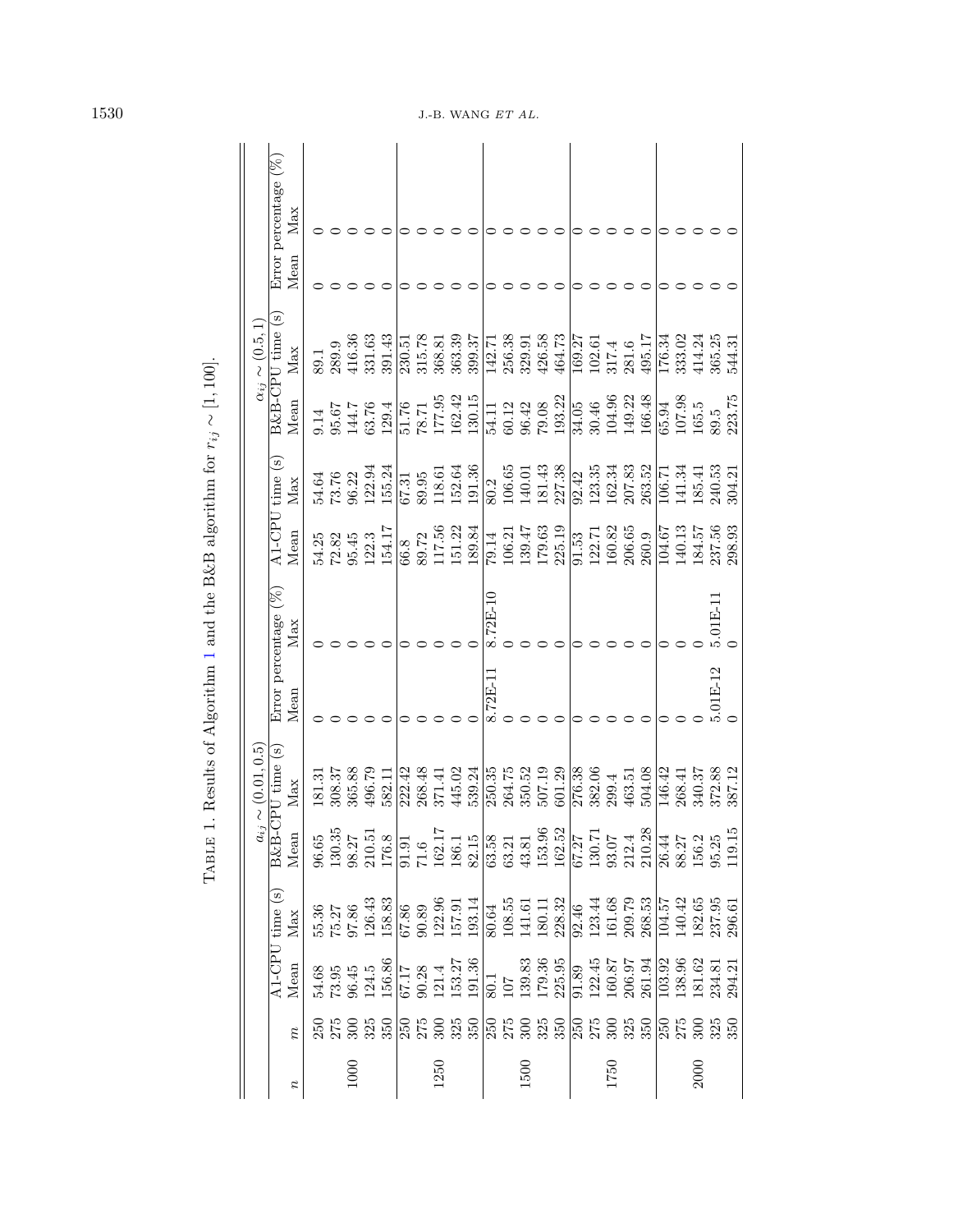|                  |                                                          |                                                                                                                                                                                                                                                                                               |                                                                                                                                                                                                                                                                   |                                                                                              | $a_{ij} \sim (0.01, 0.5)$            |                                 |            |                   |                          | $\alpha_{ij}$ | $\sim (0.5, 1)$                                     |      |                             |
|------------------|----------------------------------------------------------|-----------------------------------------------------------------------------------------------------------------------------------------------------------------------------------------------------------------------------------------------------------------------------------------------|-------------------------------------------------------------------------------------------------------------------------------------------------------------------------------------------------------------------------------------------------------------------|----------------------------------------------------------------------------------------------|--------------------------------------|---------------------------------|------------|-------------------|--------------------------|---------------|-----------------------------------------------------|------|-----------------------------|
| $\boldsymbol{n}$ | $\widetilde{n}$                                          | Mean                                                                                                                                                                                                                                                                                          | $\overline{A1-CPU}$ time (s)<br>Max                                                                                                                                                                                                                               |                                                                                              | $\frac{B\&B-CPU~time~(s)}{Mean~Max}$ | Error percentage $(\%)$<br>Mean | Max        | Mean              | $A1-CPU$ time (s)<br>Max | Mean          | $\overline{\text{B\&B\text{-}CPU}}$ time (s)<br>Max | Mean | Error percentage (%)<br>Max |
|                  |                                                          |                                                                                                                                                                                                                                                                                               |                                                                                                                                                                                                                                                                   |                                                                                              | 181.31                               |                                 |            | 54.25             | 54.64                    | 0.14          | 89.1                                                |      |                             |
|                  | 35<br>25<br>325                                          | $\begin{array}{l} 54.68\\ 73.95\\ 86.45\\ 124.5\\ 156.86\\ \hline 67.17\\ 90.28\\ 113.3.27\\ 156.26\\ 121.4\\ 153.27\\ 153.27\\ 153.27\\ 153.37\\ 153.36\\ \end{array}$                                                                                                                       | $\frac{55.36}{75.27}$<br>97.86<br>126.43                                                                                                                                                                                                                          | 30.35<br>$\begin{array}{c} 96.65 \\ 130.35 \\ 98.27 \end{array}$                             | 308.37                               |                                 |            | 72.82             |                          | 95.67         | 289.9                                               |      |                             |
| 1000             |                                                          |                                                                                                                                                                                                                                                                                               |                                                                                                                                                                                                                                                                   |                                                                                              | 365.88                               |                                 |            | 95.45             | 73.76<br>96.22           | 144.7         | 416.36                                              |      |                             |
|                  |                                                          |                                                                                                                                                                                                                                                                                               |                                                                                                                                                                                                                                                                   | 10.51                                                                                        | 496.79                               |                                 |            | 122.3             | 122.94                   | 63.76         | 331.63                                              |      |                             |
|                  | s Conconconconconconcon<br>Sana Sanga Rosa Sana Rosa San |                                                                                                                                                                                                                                                                                               | 158.83                                                                                                                                                                                                                                                            | 76.8                                                                                         | 582.11                               |                                 |            | 154.17            | 155.24                   | 129.4         | 391.43                                              |      |                             |
|                  |                                                          |                                                                                                                                                                                                                                                                                               | $\frac{67.86}{2}$                                                                                                                                                                                                                                                 |                                                                                              | 222.42                               |                                 |            | 66.8              | 67.31                    | 51.76         | 230.51                                              |      |                             |
|                  |                                                          |                                                                                                                                                                                                                                                                                               |                                                                                                                                                                                                                                                                   |                                                                                              | 268.48                               |                                 |            |                   | 89.95                    | $78.71\,$     | 315.78                                              |      |                             |
| 1250             |                                                          |                                                                                                                                                                                                                                                                                               |                                                                                                                                                                                                                                                                   | $\frac{1.91}{1.6}$<br>$\frac{62.17}{86.1}$                                                   | 371.41                               |                                 |            | $89.72$<br>117.56 | 118.61                   | 177.95        | 368.81                                              |      |                             |
|                  |                                                          |                                                                                                                                                                                                                                                                                               |                                                                                                                                                                                                                                                                   |                                                                                              | 445.02                               |                                 | $\circ$    | 151.22            | 152.64                   | 162.42        | 363.39                                              |      |                             |
|                  |                                                          |                                                                                                                                                                                                                                                                                               | $\begin{array}{l} 90.89\\ 90.39\\ 122.96\\ 157.91\\ 157.91\\ 193.14\\ 193.65\\ 108.55\\ 141.61\\ 141.61\\ 141.32\\ 142.32\\ 153.44\\ 161.68\\ 163.53\\ 268.53\\ 268.53\\ 268.53\\ 268.53\\ 268.53\\ 268.53\\ 268.53\\ 268.53\\ 268.53\\ 268.53\\ 268.53\\ 268.53$ | $\begin{array}{r} 131.15 \\ 82.15 \\ 63.58 \\ 63.21 \\ 63.81 \\ 43.81 \\ 153.96 \end{array}$ | 539.24                               |                                 |            | 189.84            | 191.36                   | 130.15        | 399.37                                              |      |                             |
|                  |                                                          |                                                                                                                                                                                                                                                                                               |                                                                                                                                                                                                                                                                   |                                                                                              | 250.35                               | 8.72E-11                        | $8.72E-10$ | 79.14             | 80.2                     | 54.11         | 142.71                                              |      |                             |
|                  |                                                          |                                                                                                                                                                                                                                                                                               |                                                                                                                                                                                                                                                                   |                                                                                              | 264.75                               |                                 |            | 106.21            | 106.65                   | 60.12         | 256.38                                              |      |                             |
| 1500             |                                                          |                                                                                                                                                                                                                                                                                               |                                                                                                                                                                                                                                                                   |                                                                                              | 350.52                               |                                 |            | 139.47            | 140.01                   | 96.42         | 329.91                                              |      |                             |
|                  |                                                          |                                                                                                                                                                                                                                                                                               |                                                                                                                                                                                                                                                                   |                                                                                              | 507.19                               |                                 |            | 179.63            | 181.43                   | 79.08         | 426.58                                              |      |                             |
|                  |                                                          | $\begin{array}{r l} 80.1 \\ 107 \\ 107 \\ 139.35 \\ 179.36 \\ 179.36 \\ 225.95 \\ 212.45 \\ 122.45 \\ 160.87 \\ 206.97 \\ 206.97 \\ 206.97 \\ 206.94 \\ 206.97 \\ 206.97 \\ 206.97 \\ 206.97 \\ 206.97 \\ 206.99 \\ 206.99 \\ 206.99 \\ 206.99 \\ 206.99 \\ 206.99 \\ 206.99 \\ 206.99 \\ 20$ |                                                                                                                                                                                                                                                                   |                                                                                              | 601.29                               |                                 |            | 225.19            | 227.38                   | 193.22        | 464.73                                              |      |                             |
|                  |                                                          |                                                                                                                                                                                                                                                                                               |                                                                                                                                                                                                                                                                   |                                                                                              | 276.38                               |                                 |            | 91.53             | 92.42                    | 34.05         | 169.27                                              |      |                             |
|                  |                                                          |                                                                                                                                                                                                                                                                                               |                                                                                                                                                                                                                                                                   |                                                                                              | 382.06                               |                                 |            | 122.71            | 123.35                   | 30.46         | 102.61                                              |      |                             |
| 1750             |                                                          |                                                                                                                                                                                                                                                                                               |                                                                                                                                                                                                                                                                   |                                                                                              | 299.4                                |                                 |            | 160.82            | 162.34                   | 104.96        | $317.4\,$                                           |      |                             |
|                  |                                                          |                                                                                                                                                                                                                                                                                               |                                                                                                                                                                                                                                                                   |                                                                                              | 463.51                               |                                 |            | 206.65            | 207.83                   | 149.22        | 281.6                                               |      |                             |
|                  |                                                          |                                                                                                                                                                                                                                                                                               |                                                                                                                                                                                                                                                                   |                                                                                              | 504.08                               |                                 |            | 260.9             | 263.52                   | 166.48        | 495.17                                              |      |                             |
|                  |                                                          | 103.92                                                                                                                                                                                                                                                                                        | 104.57                                                                                                                                                                                                                                                            |                                                                                              | 146.42                               |                                 | 0          | 104.67            | 106.71                   | 65.94         | 176.34                                              |      |                             |
|                  |                                                          | 138.96<br>181.62                                                                                                                                                                                                                                                                              | 140.42                                                                                                                                                                                                                                                            |                                                                                              | 268.41                               |                                 |            | 140.13            | 141.34                   | 107.98        | 333.02                                              |      |                             |
| <b>2000</b>      | 300                                                      |                                                                                                                                                                                                                                                                                               |                                                                                                                                                                                                                                                                   |                                                                                              | 340.37                               |                                 |            | 184.57            | 185.41                   | 165.5         | 414.24                                              |      |                             |
|                  | 325                                                      | 234.81                                                                                                                                                                                                                                                                                        | $\frac{182.65}{237.95}$                                                                                                                                                                                                                                           |                                                                                              | 372.88                               | $5.01E-12$                      | $5.01E-11$ | 237.56            | 240.53                   | 89.5          | 365.25                                              |      |                             |
|                  |                                                          | 294.21                                                                                                                                                                                                                                                                                        |                                                                                                                                                                                                                                                                   | 19.15                                                                                        | 387.12                               |                                 |            | 298.93            | 304.21                   | 223.75        | 544.31                                              |      |                             |

TABLE 1. Results of Algorithm 1 and the B&B algorithm for  $r_{ij} \sim [1, 100].$ 

<span id="page-7-0"></span>1530 J.-B. WANG  $ETAL$ .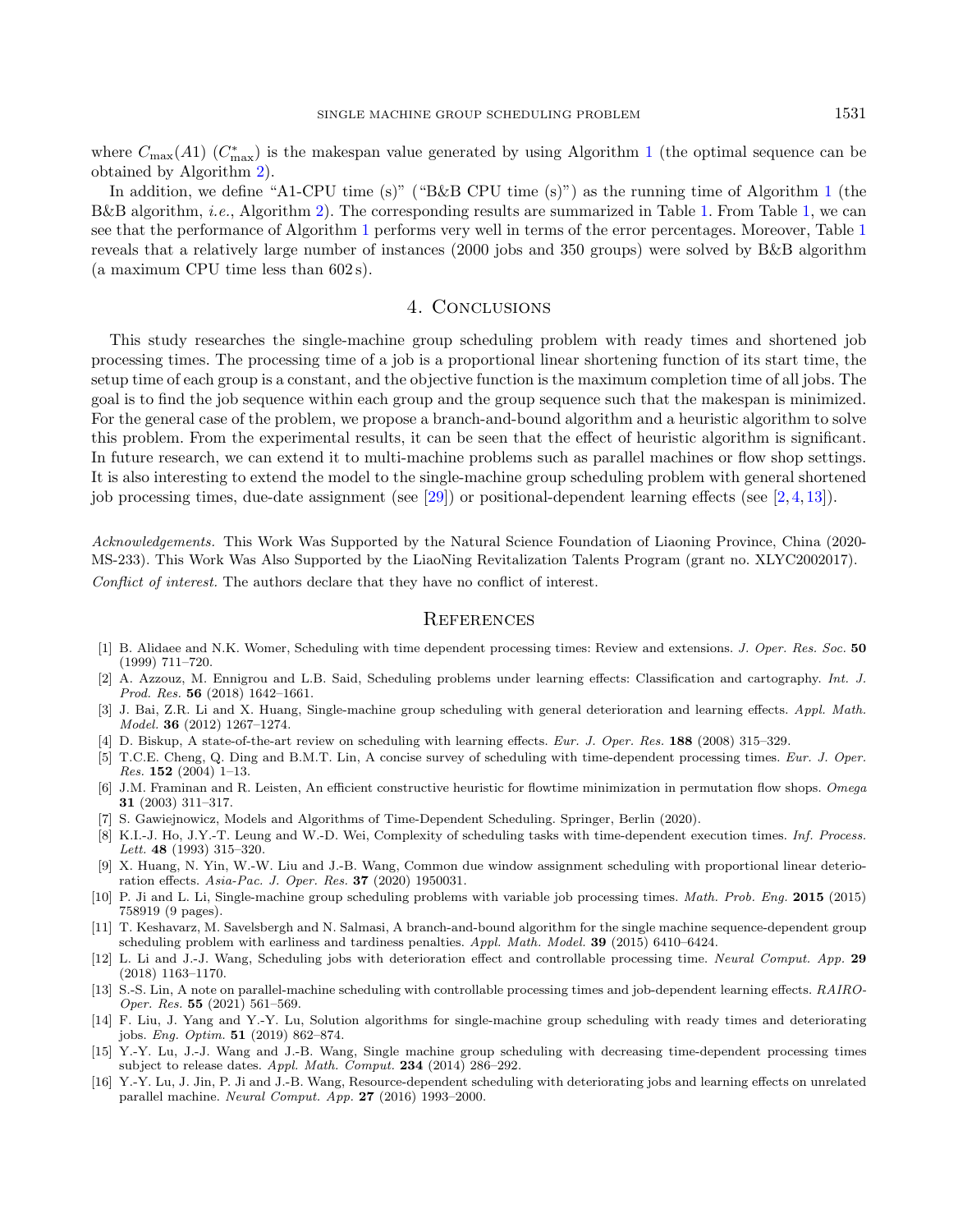where  $C_{\text{max}}(A1)$  $C_{\text{max}}(A1)$  $C_{\text{max}}(A1)$  ( $C_{\text{max}}^*$ ) is the makespan value generated by using Algorithm 1 (the optimal sequence can be obtained by Algorithm [2\)](#page-6-2).

In addition, we define "A[1](#page-3-1)-CPU time (s)" ("B&B CPU time (s)") as the running time of Algorithm 1 (the B&B algorithm, *i.e.*, Algorithm [2\)](#page-6-2). The corresponding results are summarized in Table [1.](#page-7-0) From Table [1,](#page-7-0) we can see that the performance of Algorithm [1](#page-3-1) performs very well in terms of the error percentages. Moreover, Table [1](#page-7-0) reveals that a relatively large number of instances (2000 jobs and 350 groups) were solved by B&B algorithm (a maximum CPU time less than 602 s).

# 4. Conclusions

<span id="page-8-14"></span><span id="page-8-0"></span>This study researches the single-machine group scheduling problem with ready times and shortened job processing times. The processing time of a job is a proportional linear shortening function of its start time, the setup time of each group is a constant, and the objective function is the maximum completion time of all jobs. The goal is to find the job sequence within each group and the group sequence such that the makespan is minimized. For the general case of the problem, we propose a branch-and-bound algorithm and a heuristic algorithm to solve this problem. From the experimental results, it can be seen that the effect of heuristic algorithm is significant. In future research, we can extend it to multi-machine problems such as parallel machines or flow shop settings. It is also interesting to extend the model to the single-machine group scheduling problem with general shortened job processing times, due-date assignment (see [\[29\]](#page-9-13)) or positional-dependent learning effects (see [\[2,](#page-8-4) [4,](#page-8-3) [13\]](#page-8-16)).

<span id="page-8-15"></span><span id="page-8-8"></span><span id="page-8-5"></span><span id="page-8-4"></span><span id="page-8-3"></span><span id="page-8-1"></span>Acknowledgements. This Work Was Supported by the Natural Science Foundation of Liaoning Province, China (2020- MS-233). This Work Was Also Supported by the LiaoNing Revitalization Talents Program (grant no. XLYC2002017). Conflict of interest. The authors declare that they have no conflict of interest.

#### **REFERENCES**

- <span id="page-8-12"></span><span id="page-8-2"></span>[1] B. Alidaee and N.K. Womer, Scheduling with time dependent processing times: Review and extensions. J. Oper. Res. Soc. 50 (1999) 711–720.
- <span id="page-8-7"></span>[2] A. Azzouz, M. Ennigrou and L.B. Said, Scheduling problems under learning effects: Classification and cartography. Int. J. Prod. Res. 56 (2018) 1642–1661.
- <span id="page-8-6"></span>[3] J. Bai, Z.R. Li and X. Huang, Single-machine group scheduling with general deterioration and learning effects. Appl. Math. Model. 36 (2012) 1267–1274.
- <span id="page-8-10"></span>[4] D. Biskup, A state-of-the-art review on scheduling with learning effects. Eur. J. Oper. Res. 188 (2008) 315–329.
- <span id="page-8-16"></span>[5] T.C.E. Cheng, Q. Ding and B.M.T. Lin, A concise survey of scheduling with time-dependent processing times. Eur. J. Oper. *Res.* **152** (2004) 1-13.
- <span id="page-8-9"></span>[6] J.M. Framinan and R. Leisten, An efficient constructive heuristic for flowtime minimization in permutation flow shops. Omega 31 (2003) 311–317.
- <span id="page-8-13"></span>[7] S. Gawiejnowicz, Models and Algorithms of Time-Dependent Scheduling. Springer, Berlin (2020).
- [8] K.I.-J. Ho, J.Y.-T. Leung and W.-D. Wei, Complexity of scheduling tasks with time-dependent execution times. Inf. Process. Lett. 48 (1993) 315–320.
- <span id="page-8-11"></span>[9] X. Huang, N. Yin, W.-W. Liu and J.-B. Wang, Common due window assignment scheduling with proportional linear deterioration effects. Asia-Pac. J. Oper. Res. 37 (2020) 1950031.
- [10] P. Ji and L. Li, Single-machine group scheduling problems with variable job processing times. Math. Prob. Eng. 2015 (2015) 758919 (9 pages).
- [11] T. Keshavarz, M. Savelsbergh and N. Salmasi, A branch-and-bound algorithm for the single machine sequence-dependent group scheduling problem with earliness and tardiness penalties. Appl. Math. Model. 39 (2015) 6410–6424.
- [12] L. Li and J.-J. Wang, Scheduling jobs with deterioration effect and controllable processing time. Neural Comput. App. 29 (2018) 1163–1170.
- [13] S.-S. Lin, A note on parallel-machine scheduling with controllable processing times and job-dependent learning effects. RAIRO-Oper. Res. 55 (2021) 561–569.
- [14] F. Liu, J. Yang and Y.-Y. Lu, Solution algorithms for single-machine group scheduling with ready times and deteriorating jobs. Eng. Optim. 51 (2019) 862–874.
- [15] Y.-Y. Lu, J.-J. Wang and J.-B. Wang, Single machine group scheduling with decreasing time-dependent processing times subject to release dates. Appl. Math. Comput. 234 (2014) 286–292.
- [16] Y.-Y. Lu, J. Jin, P. Ji and J.-B. Wang, Resource-dependent scheduling with deteriorating jobs and learning effects on unrelated parallel machine. Neural Comput. App. 27 (2016) 1993–2000.